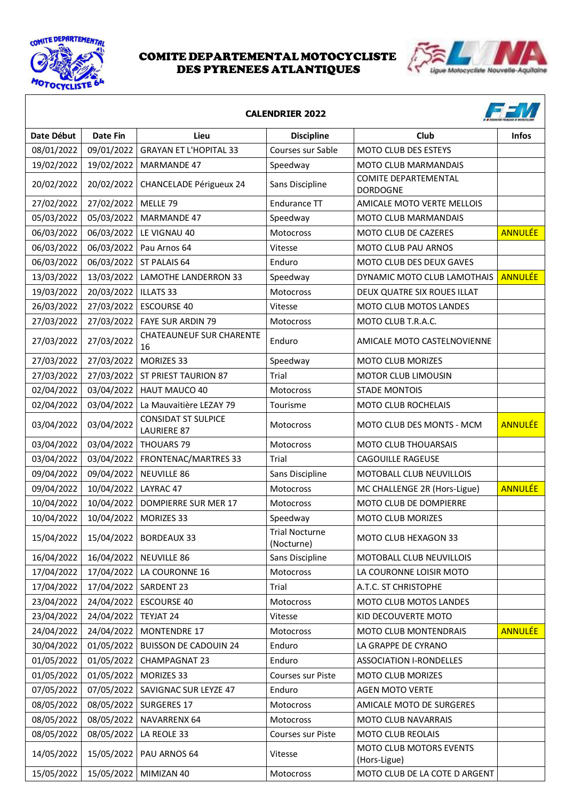



| <b>CALENDRIER 2022</b> |                 |                                                  |                                     |                                                |                |  |
|------------------------|-----------------|--------------------------------------------------|-------------------------------------|------------------------------------------------|----------------|--|
| Date Début             | <b>Date Fin</b> | Lieu                                             | <b>Discipline</b>                   | Club                                           | <b>Infos</b>   |  |
| 08/01/2022             | 09/01/2022      | <b>GRAYAN ET L'HOPITAL 33</b>                    | Courses sur Sable                   | MOTO CLUB DES ESTEYS                           |                |  |
| 19/02/2022             | 19/02/2022      | <b>MARMANDE 47</b>                               | Speedway                            | MOTO CLUB MARMANDAIS                           |                |  |
| 20/02/2022             | 20/02/2022      | CHANCELADE Périgueux 24                          | Sans Discipline                     | <b>COMITE DEPARTEMENTAL</b><br><b>DORDOGNE</b> |                |  |
| 27/02/2022             | 27/02/2022      | MELLE 79                                         | <b>Endurance TT</b>                 | AMICALE MOTO VERTE MELLOIS                     |                |  |
| 05/03/2022             | 05/03/2022      | <b>MARMANDE 47</b>                               | Speedway                            | MOTO CLUB MARMANDAIS                           |                |  |
| 06/03/2022             | 06/03/2022      | LE VIGNAU 40                                     | <b>Motocross</b>                    | <b>MOTO CLUB DE CAZERES</b>                    | <b>ANNULÉE</b> |  |
| 06/03/2022             | 06/03/2022      | Pau Arnos 64                                     | Vitesse                             | MOTO CLUB PAU ARNOS                            |                |  |
| 06/03/2022             | 06/03/2022      | ST PALAIS 64                                     | Enduro                              | MOTO CLUB DES DEUX GAVES                       |                |  |
| 13/03/2022             | 13/03/2022      | <b>LAMOTHE LANDERRON 33</b>                      | Speedway                            | DYNAMIC MOTO CLUB LAMOTHAIS                    | <b>ANNULÉE</b> |  |
| 19/03/2022             | 20/03/2022      | <b>ILLATS 33</b>                                 | Motocross                           | DEUX QUATRE SIX ROUES ILLAT                    |                |  |
| 26/03/2022             | 27/03/2022      | <b>ESCOURSE 40</b>                               | Vitesse                             | MOTO CLUB MOTOS LANDES                         |                |  |
| 27/03/2022             | 27/03/2022      | <b>FAYE SUR ARDIN 79</b>                         | Motocross                           | MOTO CLUB T.R.A.C.                             |                |  |
| 27/03/2022             | 27/03/2022      | <b>CHATEAUNEUF SUR CHARENTE</b><br>16            | Enduro                              | AMICALE MOTO CASTELNOVIENNE                    |                |  |
| 27/03/2022             | 27/03/2022      | MORIZES 33                                       | Speedway                            | <b>MOTO CLUB MORIZES</b>                       |                |  |
| 27/03/2022             | 27/03/2022      | ST PRIEST TAURION 87                             | Trial                               | <b>MOTOR CLUB LIMOUSIN</b>                     |                |  |
| 02/04/2022             | 03/04/2022      | HAUT MAUCO 40                                    | Motocross                           | <b>STADE MONTOIS</b>                           |                |  |
| 02/04/2022             | 03/04/2022      | La Mauvaitière LEZAY 79                          | Tourisme                            | MOTO CLUB ROCHELAIS                            |                |  |
| 03/04/2022             | 03/04/2022      | <b>CONSIDAT ST SULPICE</b><br><b>LAURIERE 87</b> | Motocross                           | MOTO CLUB DES MONTS - MCM                      | <b>ANNULÉE</b> |  |
| 03/04/2022             | 03/04/2022      | <b>THOUARS 79</b>                                | Motocross                           | <b>MOTO CLUB THOUARSAIS</b>                    |                |  |
| 03/04/2022             | 03/04/2022      | FRONTENAC/MARTRES 33                             | Trial                               | <b>CAGOUILLE RAGEUSE</b>                       |                |  |
| 09/04/2022             | 09/04/2022      | <b>NEUVILLE 86</b>                               | Sans Discipline                     | MOTOBALL CLUB NEUVILLOIS                       |                |  |
| 09/04/2022             | 10/04/2022      | LAYRAC 47                                        | Motocross                           | MC CHALLENGE 2R (Hors-Ligue)                   | <b>ANNULÉE</b> |  |
| 10/04/2022             | 10/04/2022      | <b>DOMPIERRE SUR MER 17</b>                      | Motocross                           | MOTO CLUB DE DOMPIERRE                         |                |  |
| 10/04/2022             | 10/04/2022      | <b>MORIZES 33</b>                                | Speedway                            | <b>MOTO CLUB MORIZES</b>                       |                |  |
| 15/04/2022             | 15/04/2022      | <b>BORDEAUX 33</b>                               | <b>Trial Nocturne</b><br>(Nocturne) | MOTO CLUB HEXAGON 33                           |                |  |
| 16/04/2022             | 16/04/2022      | <b>NEUVILLE 86</b>                               | Sans Discipline                     | MOTOBALL CLUB NEUVILLOIS                       |                |  |
| 17/04/2022             | 17/04/2022      | LA COURONNE 16                                   | <b>Motocross</b>                    | LA COURONNE LOISIR MOTO                        |                |  |
| 17/04/2022             | 17/04/2022      | SARDENT 23                                       | Trial                               | A.T.C. ST CHRISTOPHE                           |                |  |
| 23/04/2022             | 24/04/2022      | <b>ESCOURSE 40</b>                               | Motocross                           | MOTO CLUB MOTOS LANDES                         |                |  |
| 23/04/2022             | 24/04/2022      | TEYJAT 24                                        | Vitesse                             | KID DECOUVERTE MOTO                            |                |  |
| 24/04/2022             | 24/04/2022      | <b>MONTENDRE 17</b>                              | <b>Motocross</b>                    | <b>MOTO CLUB MONTENDRAIS</b>                   | <b>ANNULÉE</b> |  |
| 30/04/2022             | 01/05/2022      | <b>BUISSON DE CADOUIN 24</b>                     | Enduro                              | LA GRAPPE DE CYRANO                            |                |  |
| 01/05/2022             | 01/05/2022      | <b>CHAMPAGNAT 23</b>                             | Enduro                              | <b>ASSOCIATION I-RONDELLES</b>                 |                |  |
| 01/05/2022             | 01/05/2022      | MORIZES 33                                       | Courses sur Piste                   | <b>MOTO CLUB MORIZES</b>                       |                |  |
| 07/05/2022             | 07/05/2022      | SAVIGNAC SUR LEYZE 47                            | Enduro                              | <b>AGEN MOTO VERTE</b>                         |                |  |
| 08/05/2022             | 08/05/2022      | SURGERES 17                                      | Motocross                           | AMICALE MOTO DE SURGERES                       |                |  |
| 08/05/2022             | 08/05/2022      | NAVARRENX 64                                     | Motocross                           | MOTO CLUB NAVARRAIS                            |                |  |
| 08/05/2022             | 08/05/2022      | LA REOLE 33                                      | Courses sur Piste                   | <b>MOTO CLUB REOLAIS</b>                       |                |  |
| 14/05/2022             | 15/05/2022      | PAU ARNOS 64                                     | Vitesse                             | MOTO CLUB MOTORS EVENTS<br>(Hors-Ligue)        |                |  |
| 15/05/2022             | 15/05/2022      | MIMIZAN 40                                       | Motocross                           | MOTO CLUB DE LA COTE D ARGENT                  |                |  |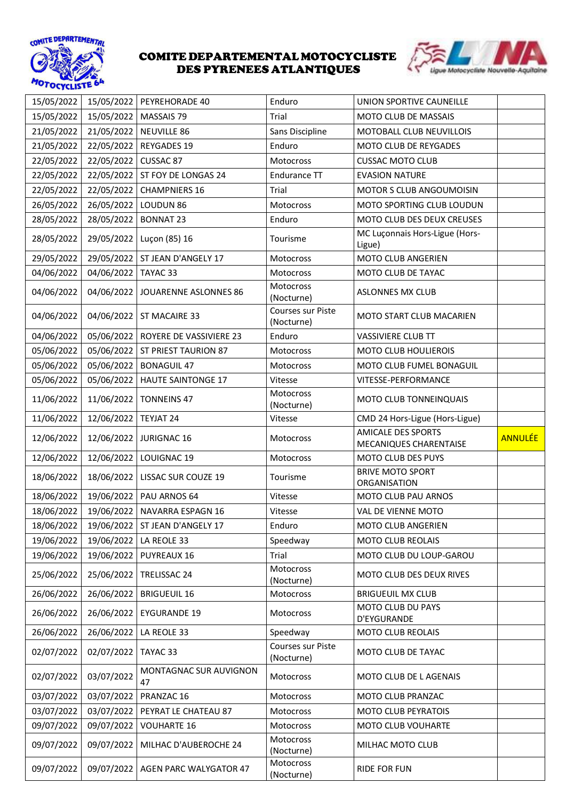



| 15/05/2022 |            | 15/05/2022 PEYREHORADE 40       | Enduro                          | UNION SPORTIVE CAUNEILLE                            |                |
|------------|------------|---------------------------------|---------------------------------|-----------------------------------------------------|----------------|
| 15/05/2022 | 15/05/2022 | MASSAIS 79                      | Trial                           | MOTO CLUB DE MASSAIS                                |                |
| 21/05/2022 | 21/05/2022 | <b>NEUVILLE 86</b>              | Sans Discipline                 | MOTOBALL CLUB NEUVILLOIS                            |                |
| 21/05/2022 | 22/05/2022 | <b>REYGADES 19</b>              | Enduro                          | MOTO CLUB DE REYGADES                               |                |
| 22/05/2022 | 22/05/2022 | CUSSAC 87                       | Motocross                       | <b>CUSSAC MOTO CLUB</b>                             |                |
| 22/05/2022 | 22/05/2022 | ST FOY DE LONGAS 24             | Endurance TT                    | <b>EVASION NATURE</b>                               |                |
| 22/05/2022 | 22/05/2022 | <b>CHAMPNIERS 16</b>            | Trial                           | MOTOR S CLUB ANGOUMOISIN                            |                |
| 26/05/2022 | 26/05/2022 | LOUDUN <sub>86</sub>            | Motocross                       | MOTO SPORTING CLUB LOUDUN                           |                |
| 28/05/2022 | 28/05/2022 | <b>BONNAT 23</b>                | Enduro                          | MOTO CLUB DES DEUX CREUSES                          |                |
| 28/05/2022 | 29/05/2022 | Luçon (85) 16                   | Tourisme                        | MC Luçonnais Hors-Ligue (Hors-<br>Ligue)            |                |
| 29/05/2022 | 29/05/2022 | ST JEAN D'ANGELY 17             | Motocross                       | MOTO CLUB ANGERIEN                                  |                |
| 04/06/2022 | 04/06/2022 | TAYAC 33                        | Motocross                       | MOTO CLUB DE TAYAC                                  |                |
| 04/06/2022 | 04/06/2022 | JOUARENNE ASLONNES 86           | Motocross<br>(Nocturne)         | <b>ASLONNES MX CLUB</b>                             |                |
| 04/06/2022 |            | 04/06/2022   ST MACAIRE 33      | Courses sur Piste<br>(Nocturne) | <b>MOTO START CLUB MACARIEN</b>                     |                |
| 04/06/2022 | 05/06/2022 | ROYERE DE VASSIVIERE 23         | Enduro                          | <b>VASSIVIERE CLUB TT</b>                           |                |
| 05/06/2022 |            | 05/06/2022 ST PRIEST TAURION 87 | Motocross                       | <b>MOTO CLUB HOULIEROIS</b>                         |                |
| 05/06/2022 | 05/06/2022 | <b>BONAGUIL 47</b>              | Motocross                       | MOTO CLUB FUMEL BONAGUIL                            |                |
| 05/06/2022 | 05/06/2022 | HAUTE SAINTONGE 17              | Vitesse                         | VITESSE-PERFORMANCE                                 |                |
| 11/06/2022 | 11/06/2022 | <b>TONNEINS 47</b>              | Motocross<br>(Nocturne)         | MOTO CLUB TONNEINQUAIS                              |                |
| 11/06/2022 | 12/06/2022 | TEYJAT 24                       | Vitesse                         | CMD 24 Hors-Ligue (Hors-Ligue)                      |                |
| 12/06/2022 | 12/06/2022 | <b>JURIGNAC 16</b>              | Motocross                       | <b>AMICALE DES SPORTS</b><br>MECANIQUES CHARENTAISE | <b>ANNULÉE</b> |
| 12/06/2022 | 12/06/2022 | LOUIGNAC 19                     | Motocross                       | MOTO CLUB DES PUYS                                  |                |
| 18/06/2022 | 18/06/2022 | LISSAC SUR COUZE 19             | Tourisme                        | <b>BRIVE MOTO SPORT</b><br><b>ORGANISATION</b>      |                |
| 18/06/2022 | 19/06/2022 | PAU ARNOS 64                    | Vitesse                         | MOTO CLUB PAU ARNOS                                 |                |
| 18/06/2022 | 19/06/2022 | NAVARRA ESPAGN 16               | Vitesse                         | VAL DE VIENNE MOTO                                  |                |
| 18/06/2022 | 19/06/2022 | ST JEAN D'ANGELY 17             | Enduro                          | MOTO CLUB ANGERIEN                                  |                |
| 19/06/2022 | 19/06/2022 | LA REOLE 33                     | Speedway                        | <b>MOTO CLUB REOLAIS</b>                            |                |
| 19/06/2022 | 19/06/2022 | PUYREAUX 16                     | Trial                           | MOTO CLUB DU LOUP-GAROU                             |                |
| 25/06/2022 | 25/06/2022 | TRELISSAC 24                    | Motocross<br>(Nocturne)         | MOTO CLUB DES DEUX RIVES                            |                |
| 26/06/2022 | 26/06/2022 | <b>BRIGUEUIL 16</b>             | Motocross                       | <b>BRIGUEUIL MX CLUB</b>                            |                |
| 26/06/2022 | 26/06/2022 | <b>EYGURANDE 19</b>             | Motocross                       | MOTO CLUB DU PAYS<br>D'EYGURANDE                    |                |
| 26/06/2022 | 26/06/2022 | LA REOLE 33                     | Speedway                        | MOTO CLUB REOLAIS                                   |                |
| 02/07/2022 | 02/07/2022 | TAYAC 33                        | Courses sur Piste<br>(Nocturne) | MOTO CLUB DE TAYAC                                  |                |
| 02/07/2022 | 03/07/2022 | MONTAGNAC SUR AUVIGNON<br>47    | Motocross                       | MOTO CLUB DE L AGENAIS                              |                |
| 03/07/2022 | 03/07/2022 | PRANZAC 16                      | Motocross                       | MOTO CLUB PRANZAC                                   |                |
| 03/07/2022 | 03/07/2022 | PEYRAT LE CHATEAU 87            | Motocross                       | MOTO CLUB PEYRATOIS                                 |                |
| 09/07/2022 |            | <b>VOUHARTE 16</b>              | Motocross                       | MOTO CLUB VOUHARTE                                  |                |
|            | 09/07/2022 |                                 |                                 |                                                     |                |
| 09/07/2022 | 09/07/2022 | MILHAC D'AUBEROCHE 24           | Motocross<br>(Nocturne)         | MILHAC MOTO CLUB                                    |                |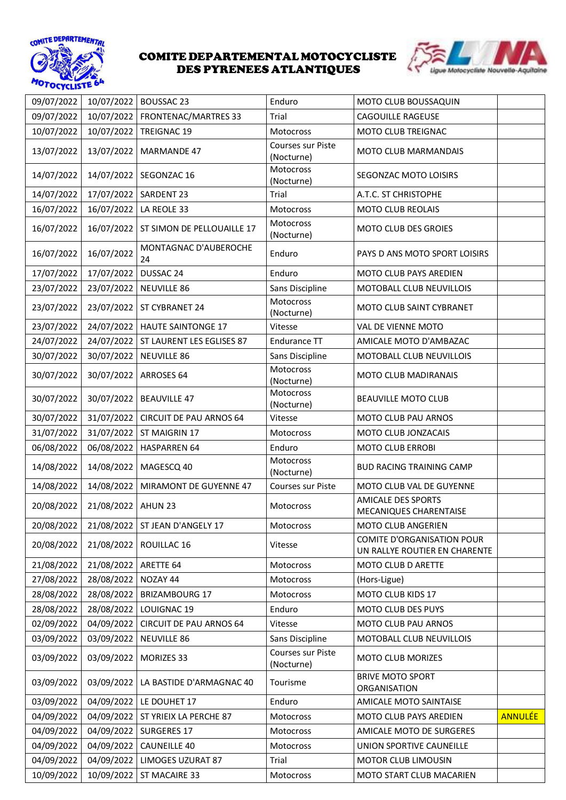



| 09/07/2022 | 10/07/2022         | <b>BOUSSAC 23</b>                | Enduro                          | MOTO CLUB BOUSSAQUIN                                               |                |
|------------|--------------------|----------------------------------|---------------------------------|--------------------------------------------------------------------|----------------|
| 09/07/2022 | 10/07/2022         | FRONTENAC/MARTRES 33             | Trial                           | <b>CAGOUILLE RAGEUSE</b>                                           |                |
| 10/07/2022 | 10/07/2022         | TREIGNAC 19                      | Motocross                       | MOTO CLUB TREIGNAC                                                 |                |
| 13/07/2022 | 13/07/2022         | <b>MARMANDE 47</b>               | Courses sur Piste<br>(Nocturne) | MOTO CLUB MARMANDAIS                                               |                |
| 14/07/2022 |                    | 14/07/2022   SEGONZAC 16         | Motocross<br>(Nocturne)         | SEGONZAC MOTO LOISIRS                                              |                |
| 14/07/2022 | 17/07/2022         | SARDENT 23                       | Trial                           | A.T.C. ST CHRISTOPHE                                               |                |
| 16/07/2022 | 16/07/2022         | LA REOLE 33                      | Motocross                       | MOTO CLUB REOLAIS                                                  |                |
| 16/07/2022 | 16/07/2022         | ST SIMON DE PELLOUAILLE 17       | Motocross<br>(Nocturne)         | <b>MOTO CLUB DES GROIES</b>                                        |                |
| 16/07/2022 | 16/07/2022         | MONTAGNAC D'AUBEROCHE<br>24      | Enduro                          | PAYS D ANS MOTO SPORT LOISIRS                                      |                |
| 17/07/2022 | 17/07/2022         | DUSSAC 24                        | Enduro                          | MOTO CLUB PAYS AREDIEN                                             |                |
| 23/07/2022 | 23/07/2022         | <b>NEUVILLE 86</b>               | Sans Discipline                 | MOTOBALL CLUB NEUVILLOIS                                           |                |
| 23/07/2022 | 23/07/2022         | ST CYBRANET 24                   | Motocross<br>(Nocturne)         | MOTO CLUB SAINT CYBRANET                                           |                |
| 23/07/2022 |                    | 24/07/2022   HAUTE SAINTONGE 17  | Vitesse                         | VAL DE VIENNE MOTO                                                 |                |
| 24/07/2022 | 24/07/2022         | ST LAURENT LES EGLISES 87        | Endurance TT                    | AMICALE MOTO D'AMBAZAC                                             |                |
| 30/07/2022 | 30/07/2022         | <b>NEUVILLE 86</b>               | Sans Discipline                 | MOTOBALL CLUB NEUVILLOIS                                           |                |
| 30/07/2022 | 30/07/2022         | ARROSES 64                       | Motocross<br>(Nocturne)         | MOTO CLUB MADIRANAIS                                               |                |
| 30/07/2022 | 30/07/2022         | <b>BEAUVILLE 47</b>              | Motocross<br>(Nocturne)         | <b>BEAUVILLE MOTO CLUB</b>                                         |                |
| 30/07/2022 | 31/07/2022         | <b>CIRCUIT DE PAU ARNOS 64</b>   | Vitesse                         | MOTO CLUB PAU ARNOS                                                |                |
| 31/07/2022 | 31/07/2022         | ST MAIGRIN 17                    | Motocross                       | MOTO CLUB JONZACAIS                                                |                |
| 06/08/2022 | 06/08/2022         | <b>HASPARREN 64</b>              | Enduro                          | <b>MOTO CLUB ERROBI</b>                                            |                |
| 14/08/2022 | 14/08/2022         | MAGESCQ 40                       | Motocross<br>(Nocturne)         | <b>BUD RACING TRAINING CAMP</b>                                    |                |
| 14/08/2022 | 14/08/2022         | MIRAMONT DE GUYENNE 47           | Courses sur Piste               | MOTO CLUB VAL DE GUYENNE                                           |                |
| 20/08/2022 | 21/08/2022 AHUN 23 |                                  | Motocross                       | <b>AMICALE DES SPORTS</b><br>MECANIQUES CHARENTAISE                |                |
| 20/08/2022 |                    | 21/08/2022   ST JEAN D'ANGELY 17 | Motocross                       | <b>MOTO CLUB ANGERIEN</b>                                          |                |
| 20/08/2022 |                    | 21/08/2022   ROUILLAC 16         | Vitesse                         | <b>COMITE D'ORGANISATION POUR</b><br>UN RALLYE ROUTIER EN CHARENTE |                |
| 21/08/2022 | 21/08/2022         | ARETTE 64                        | Motocross                       | MOTO CLUB D ARETTE                                                 |                |
| 27/08/2022 | 28/08/2022         | NOZAY 44                         | Motocross                       | (Hors-Ligue)                                                       |                |
| 28/08/2022 | 28/08/2022         | <b>BRIZAMBOURG 17</b>            | Motocross                       | MOTO CLUB KIDS 17                                                  |                |
| 28/08/2022 | 28/08/2022         | LOUIGNAC 19                      | Enduro                          | MOTO CLUB DES PUYS                                                 |                |
| 02/09/2022 | 04/09/2022         | <b>CIRCUIT DE PAU ARNOS 64</b>   | Vitesse                         | MOTO CLUB PAU ARNOS                                                |                |
| 03/09/2022 | 03/09/2022         | <b>NEUVILLE 86</b>               | Sans Discipline                 | MOTOBALL CLUB NEUVILLOIS                                           |                |
| 03/09/2022 | 03/09/2022         | MORIZES 33                       | Courses sur Piste<br>(Nocturne) | <b>MOTO CLUB MORIZES</b>                                           |                |
| 03/09/2022 | 03/09/2022         | LA BASTIDE D'ARMAGNAC 40         | Tourisme                        | <b>BRIVE MOTO SPORT</b><br>ORGANISATION                            |                |
| 03/09/2022 | 04/09/2022         | LE DOUHET 17                     | Enduro                          | AMICALE MOTO SAINTAISE                                             |                |
| 04/09/2022 | 04/09/2022         | ST YRIEIX LA PERCHE 87           | Motocross                       | MOTO CLUB PAYS AREDIEN                                             | <b>ANNULÉE</b> |
| 04/09/2022 | 04/09/2022         | SURGERES 17                      | Motocross                       | AMICALE MOTO DE SURGERES                                           |                |
| 04/09/2022 | 04/09/2022         | <b>CAUNEILLE 40</b>              | Motocross                       | UNION SPORTIVE CAUNEILLE                                           |                |
| 04/09/2022 | 04/09/2022         | <b>LIMOGES UZURAT 87</b>         | Trial                           | MOTOR CLUB LIMOUSIN                                                |                |
| 10/09/2022 | 10/09/2022         | ST MACAIRE 33                    | Motocross                       | MOTO START CLUB MACARIEN                                           |                |